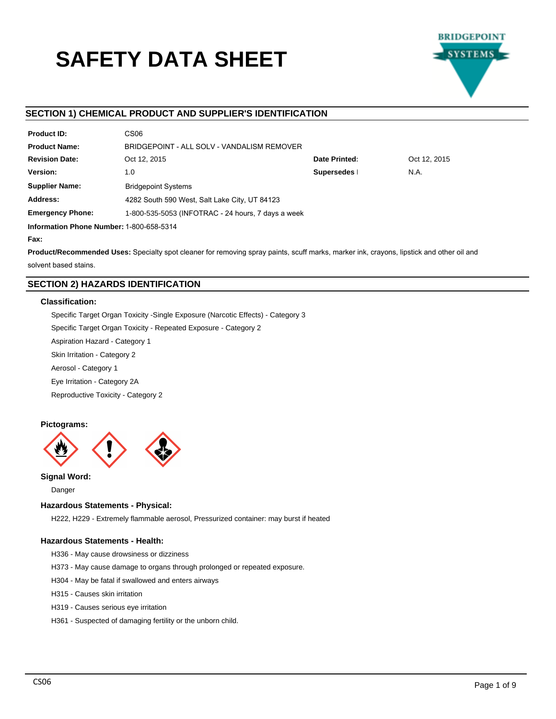# **SAFETY DATA SHEET**



# **SECTION 1) CHEMICAL PRODUCT AND SUPPLIER'S IDENTIFICATION**

| <b>Product ID:</b>                       | CS <sub>06</sub>                                   |  |  |  |  |  |
|------------------------------------------|----------------------------------------------------|--|--|--|--|--|
| <b>Product Name:</b>                     | BRIDGEPOINT - ALL SOLV - VANDALISM REMOVER         |  |  |  |  |  |
| <b>Revision Date:</b>                    | Date Printed:<br>Oct 12, 2015<br>Oct 12, 2015      |  |  |  |  |  |
| Version:                                 | Supersedes  <br>N.A.<br>1.0                        |  |  |  |  |  |
| <b>Supplier Name:</b>                    | <b>Bridgepoint Systems</b>                         |  |  |  |  |  |
| Address:                                 | 4282 South 590 West, Salt Lake City, UT 84123      |  |  |  |  |  |
| <b>Emergency Phone:</b>                  | 1-800-535-5053 (INFOTRAC - 24 hours, 7 days a week |  |  |  |  |  |
| Information Phone Number: 1-800-658-5314 |                                                    |  |  |  |  |  |

**Fax:**

**Product/Recommended Uses:** Specialty spot cleaner for removing spray paints, scuff marks, marker ink, crayons, lipstick and other oil and solvent based stains.

# **SECTION 2) HAZARDS IDENTIFICATION**

# **Classification:**

Specific Target Organ Toxicity -Single Exposure (Narcotic Effects) - Category 3

Specific Target Organ Toxicity - Repeated Exposure - Category 2

Aspiration Hazard - Category 1

Skin Irritation - Category 2

Aerosol - Category 1

Eye Irritation - Category 2A

Reproductive Toxicity - Category 2

# **Pictograms:**



**Signal Word:**

Danger

# **Hazardous Statements - Physical:**

H222, H229 - Extremely flammable aerosol, Pressurized container: may burst if heated

# **Hazardous Statements - Health:**

- H336 May cause drowsiness or dizziness
- H373 May cause damage to organs through prolonged or repeated exposure.
- H304 May be fatal if swallowed and enters airways
- H315 Causes skin irritation
- H319 Causes serious eye irritation
- H361 Suspected of damaging fertility or the unborn child.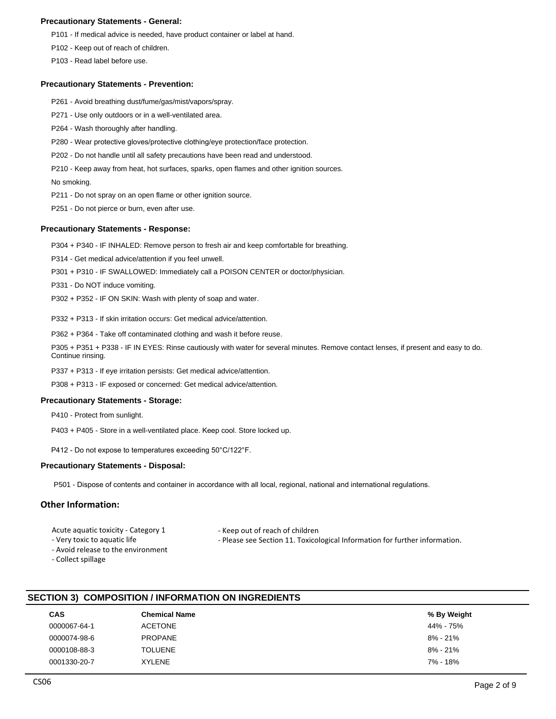# **Precautionary Statements - General:**

P101 - If medical advice is needed, have product container or label at hand.

P102 - Keep out of reach of children.

P103 - Read label before use.

# **Precautionary Statements - Prevention:**

- P261 Avoid breathing dust/fume/gas/mist/vapors/spray.
- P271 Use only outdoors or in a well-ventilated area.
- P264 Wash thoroughly after handling.
- P280 Wear protective gloves/protective clothing/eye protection/face protection.
- P202 Do not handle until all safety precautions have been read and understood.
- P210 Keep away from heat, hot surfaces, sparks, open flames and other ignition sources.

No smoking.

- P211 Do not spray on an open flame or other ignition source.
- P251 Do not pierce or burn, even after use.

# **Precautionary Statements - Response:**

P304 + P340 - IF INHALED: Remove person to fresh air and keep comfortable for breathing.

P314 - Get medical advice/attention if you feel unwell.

- P301 + P310 IF SWALLOWED: Immediately call a POISON CENTER or doctor/physician.
- P331 Do NOT induce vomiting.
- P302 + P352 IF ON SKIN: Wash with plenty of soap and water.

P332 + P313 - If skin irritation occurs: Get medical advice/attention.

P362 + P364 - Take off contaminated clothing and wash it before reuse.

P305 + P351 + P338 - IF IN EYES: Rinse cautiously with water for several minutes. Remove contact lenses, if present and easy to do. Continue rinsing.

- P337 + P313 If eye irritation persists: Get medical advice/attention.
- P308 + P313 IF exposed or concerned: Get medical advice/attention.

# **Precautionary Statements - Storage:**

- P410 Protect from sunlight.
- P403 + P405 Store in a well-ventilated place. Keep cool. Store locked up.

P412 - Do not expose to temperatures exceeding 50°C/122°F.

# **Precautionary Statements - Disposal:**

P501 - Dispose of contents and container in accordance with all local, regional, national and international regulations.

# **Other Information:**

Acute aquatic toxicity - Category 1

- Very toxic to aquatic life

- Keep out of reach of children
- Please see Section 11. Toxicological Information for further information.
- Avoid release to the environment
- Collect spillage
- **SECTION 3) COMPOSITION / INFORMATION ON INGREDIENTS**

| <b>CAS</b>   | Chemical Name  | % By Weight |
|--------------|----------------|-------------|
| 0000067-64-1 | <b>ACETONE</b> | 44% - 75%   |
| 0000074-98-6 | <b>PROPANE</b> | 8% - 21%    |
| 0000108-88-3 | <b>TOLUENE</b> | 8% - 21%    |
| 0001330-20-7 | <b>XYLENE</b>  | 7% - 18%    |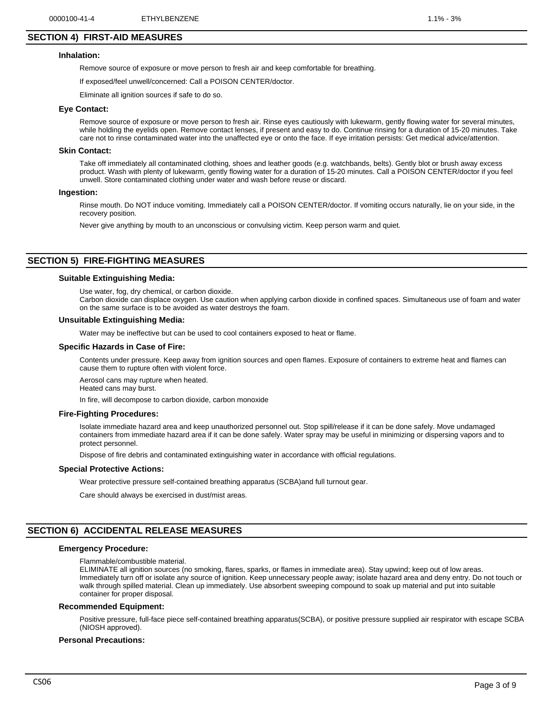# **SECTION 4) FIRST-AID MEASURES**

#### **Inhalation:**

Remove source of exposure or move person to fresh air and keep comfortable for breathing.

If exposed/feel unwell/concerned: Call a POISON CENTER/doctor.

Eliminate all ignition sources if safe to do so.

#### **Eye Contact:**

Remove source of exposure or move person to fresh air. Rinse eyes cautiously with lukewarm, gently flowing water for several minutes, while holding the eyelids open. Remove contact lenses, if present and easy to do. Continue rinsing for a duration of 15-20 minutes. Take care not to rinse contaminated water into the unaffected eye or onto the face. If eye irritation persists: Get medical advice/attention.

#### **Skin Contact:**

Take off immediately all contaminated clothing, shoes and leather goods (e.g. watchbands, belts). Gently blot or brush away excess product. Wash with plenty of lukewarm, gently flowing water for a duration of 15-20 minutes. Call a POISON CENTER/doctor if you feel unwell. Store contaminated clothing under water and wash before reuse or discard.

#### **Ingestion:**

Rinse mouth. Do NOT induce vomiting. Immediately call a POISON CENTER/doctor. If vomiting occurs naturally, lie on your side, in the recovery position.

Never give anything by mouth to an unconscious or convulsing victim. Keep person warm and quiet.

# **SECTION 5) FIRE-FIGHTING MEASURES**

## **Suitable Extinguishing Media:**

Use water, fog, dry chemical, or carbon dioxide.

Carbon dioxide can displace oxygen. Use caution when applying carbon dioxide in confined spaces. Simultaneous use of foam and water on the same surface is to be avoided as water destroys the foam.

#### **Unsuitable Extinguishing Media:**

Water may be ineffective but can be used to cool containers exposed to heat or flame.

#### **Specific Hazards in Case of Fire:**

Contents under pressure. Keep away from ignition sources and open flames. Exposure of containers to extreme heat and flames can cause them to rupture often with violent force.

Aerosol cans may rupture when heated. Heated cans may burst.

In fire, will decompose to carbon dioxide, carbon monoxide

#### **Fire-Fighting Procedures:**

Isolate immediate hazard area and keep unauthorized personnel out. Stop spill/release if it can be done safely. Move undamaged containers from immediate hazard area if it can be done safely. Water spray may be useful in minimizing or dispersing vapors and to protect personnel.

Dispose of fire debris and contaminated extinguishing water in accordance with official regulations.

#### **Special Protective Actions:**

Wear protective pressure self-contained breathing apparatus (SCBA)and full turnout gear.

Care should always be exercised in dust/mist areas.

# **SECTION 6) ACCIDENTAL RELEASE MEASURES**

#### **Emergency Procedure:**

Flammable/combustible material.

ELIMINATE all ignition sources (no smoking, flares, sparks, or flames in immediate area). Stay upwind; keep out of low areas. Immediately turn off or isolate any source of ignition. Keep unnecessary people away; isolate hazard area and deny entry. Do not touch or walk through spilled material. Clean up immediately. Use absorbent sweeping compound to soak up material and put into suitable container for proper disposal.

#### **Recommended Equipment:**

Positive pressure, full-face piece self-contained breathing apparatus(SCBA), or positive pressure supplied air respirator with escape SCBA (NIOSH approved).

#### **Personal Precautions:**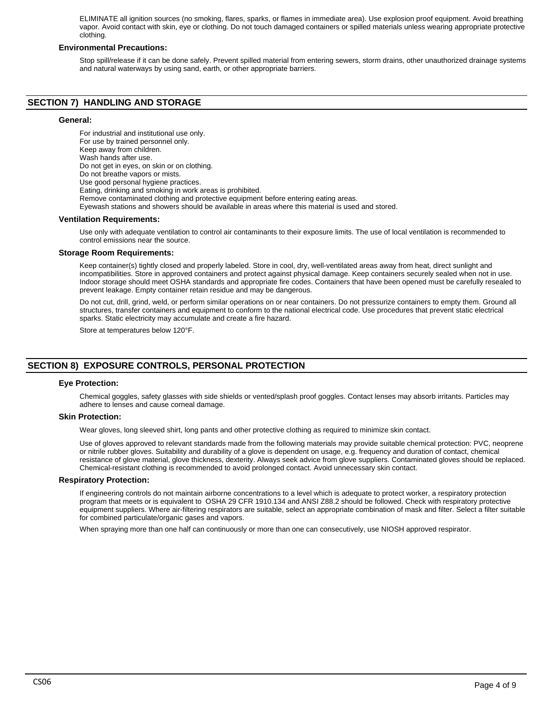ELIMINATE all ignition sources (no smoking, flares, sparks, or flames in immediate area). Use explosion proof equipment. Avoid breathing vapor. Avoid contact with skin, eye or clothing. Do not touch damaged containers or spilled materials unless wearing appropriate protective clothing.

# **Environmental Precautions:**

Stop spill/release if it can be done safely. Prevent spilled material from entering sewers, storm drains, other unauthorized drainage systems and natural waterways by using sand, earth, or other appropriate barriers.

# **SECTION 7) HANDLING AND STORAGE**

# **General:**

For industrial and institutional use only. For use by trained personnel only. Keep away from children. Wash hands after use. Do not get in eyes, on skin or on clothing. Do not breathe vapors or mists. Use good personal hygiene practices. Eating, drinking and smoking in work areas is prohibited. Remove contaminated clothing and protective equipment before entering eating areas. Eyewash stations and showers should be available in areas where this material is used and stored. **Ventilation Requirements:**

Use only with adequate ventilation to control air contaminants to their exposure limits. The use of local ventilation is recommended to control emissions near the source.

#### **Storage Room Requirements:**

Keep container(s) tightly closed and properly labeled. Store in cool, dry, well-ventilated areas away from heat, direct sunlight and incompatibilities. Store in approved containers and protect against physical damage. Keep containers securely sealed when not in use. Indoor storage should meet OSHA standards and appropriate fire codes. Containers that have been opened must be carefully resealed to prevent leakage. Empty container retain residue and may be dangerous.

Do not cut, drill, grind, weld, or perform similar operations on or near containers. Do not pressurize containers to empty them. Ground all structures, transfer containers and equipment to conform to the national electrical code. Use procedures that prevent static electrical sparks. Static electricity may accumulate and create a fire hazard.

Store at temperatures below 120°F.

# **SECTION 8) EXPOSURE CONTROLS, PERSONAL PROTECTION**

# **Eye Protection:**

Chemical goggles, safety glasses with side shields or vented/splash proof goggles. Contact lenses may absorb irritants. Particles may adhere to lenses and cause corneal damage.

#### **Skin Protection:**

Wear gloves, long sleeved shirt, long pants and other protective clothing as required to minimize skin contact.

Use of gloves approved to relevant standards made from the following materials may provide suitable chemical protection: PVC, neoprene or nitrile rubber gloves. Suitability and durability of a glove is dependent on usage, e.g. frequency and duration of contact, chemical resistance of glove material, glove thickness, dexterity. Always seek advice from glove suppliers. Contaminated gloves should be replaced. Chemical-resistant clothing is recommended to avoid prolonged contact. Avoid unnecessary skin contact.

# **Respiratory Protection:**

If engineering controls do not maintain airborne concentrations to a level which is adequate to protect worker, a respiratory protection program that meets or is equivalent to OSHA 29 CFR 1910.134 and ANSI Z88.2 should be followed. Check with respiratory protective equipment suppliers. Where air-filtering respirators are suitable, select an appropriate combination of mask and filter. Select a filter suitable for combined particulate/organic gases and vapors.

When spraying more than one half can continuously or more than one can consecutively, use NIOSH approved respirator.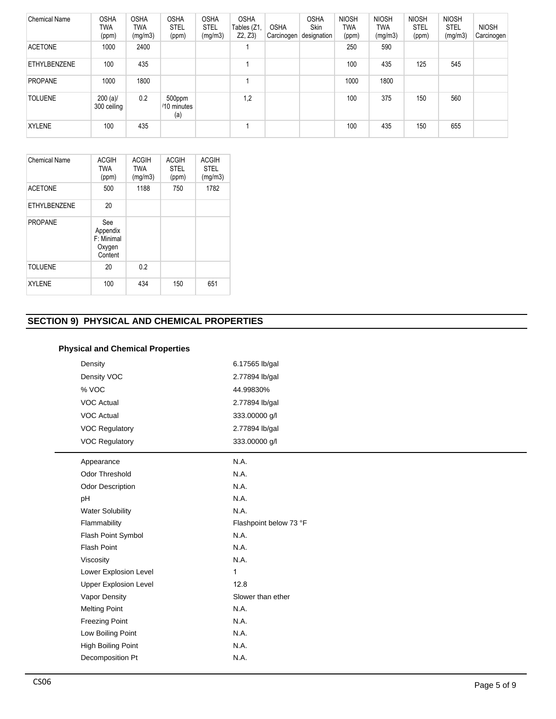| <b>Chemical Name</b> | <b>OSHA</b><br>TWA<br>(ppm) | <b>OSHA</b><br><b>TWA</b><br>(mg/m3) | <b>OSHA</b><br><b>STEL</b><br>(ppm) | <b>OSHA</b><br><b>STEL</b><br>(mg/m3) | <b>OSHA</b><br>Tables (Z1,<br>Z2, Z3 | <b>OSHA</b><br>Carcinogen | <b>OSHA</b><br>Skin<br>designation | <b>NIOSH</b><br><b>TWA</b><br>(ppm) | <b>NIOSH</b><br>TWA<br>(mg/m3) | <b>NIOSH</b><br><b>STEL</b><br>(ppm) | <b>NIOSH</b><br><b>STEL</b><br>(mg/m3) | <b>NIOSH</b><br>Carcinogen |
|----------------------|-----------------------------|--------------------------------------|-------------------------------------|---------------------------------------|--------------------------------------|---------------------------|------------------------------------|-------------------------------------|--------------------------------|--------------------------------------|----------------------------------------|----------------------------|
| <b>ACETONE</b>       | 1000                        | 2400                                 |                                     |                                       |                                      |                           |                                    | 250                                 | 590                            |                                      |                                        |                            |
| <b>ETHYLBENZENE</b>  | 100                         | 435                                  |                                     |                                       |                                      |                           |                                    | 100                                 | 435                            | 125                                  | 545                                    |                            |
| <b>PROPANE</b>       | 1000                        | 1800                                 |                                     |                                       |                                      |                           |                                    | 1000                                | 1800                           |                                      |                                        |                            |
| <b>TOLUENE</b>       | $200 (a)$ /<br>300 ceiling  | 0.2                                  | 500ppm<br>/10 minutes<br>(a)        |                                       | 1,2                                  |                           |                                    | 100                                 | 375                            | 150                                  | 560                                    |                            |
| <b>XYLENE</b>        | 100                         | 435                                  |                                     |                                       |                                      |                           |                                    | 100                                 | 435                            | 150                                  | 655                                    |                            |

| <b>Chemical Name</b> | <b>ACGIH</b><br><b>TWA</b><br>(ppm)                | <b>ACGIH</b><br><b>TWA</b><br>(mg/m3) | <b>ACGIH</b><br><b>STEL</b><br>(ppm) | <b>ACGIH</b><br><b>STEL</b><br>(mg/m3) |
|----------------------|----------------------------------------------------|---------------------------------------|--------------------------------------|----------------------------------------|
| <b>ACETONE</b>       | 500                                                | 1188                                  | 750                                  | 1782                                   |
| <b>ETHYLBENZENE</b>  | 20                                                 |                                       |                                      |                                        |
| <b>PROPANE</b>       | See<br>Appendix<br>F: Minimal<br>Oxygen<br>Content |                                       |                                      |                                        |
| <b>TOLUENE</b>       | 20                                                 | 0.2                                   |                                      |                                        |
| <b>XYLENE</b>        | 100                                                | 434                                   | 150                                  | 651                                    |

# **SECTION 9) PHYSICAL AND CHEMICAL PROPERTIES**

# **Physical and Chemical Properties**

| Density                      | 6.17565 lb/gal         |
|------------------------------|------------------------|
| Density VOC                  | 2.77894 lb/gal         |
| % VOC                        | 44.99830%              |
| <b>VOC Actual</b>            | 2.77894 lb/gal         |
| <b>VOC Actual</b>            | 333.00000 g/l          |
| <b>VOC Regulatory</b>        | 2.77894 lb/gal         |
| <b>VOC Regulatory</b>        | 333.00000 g/l          |
| Appearance                   | N.A.                   |
| <b>Odor Threshold</b>        | N.A.                   |
| <b>Odor Description</b>      | N.A.                   |
| pH                           | N.A.                   |
| <b>Water Solubility</b>      | N.A.                   |
| Flammability                 | Flashpoint below 73 °F |
| Flash Point Symbol           | N.A.                   |
| <b>Flash Point</b>           | N.A.                   |
| Viscosity                    | N.A.                   |
| Lower Explosion Level        | 1                      |
| <b>Upper Explosion Level</b> | 12.8                   |
| Vapor Density                | Slower than ether      |
| <b>Melting Point</b>         | N.A.                   |
| <b>Freezing Point</b>        | N.A.                   |
| Low Boiling Point            | N.A.                   |
| High Boiling Point           | N.A.                   |
| Decomposition Pt             | N.A.                   |
|                              |                        |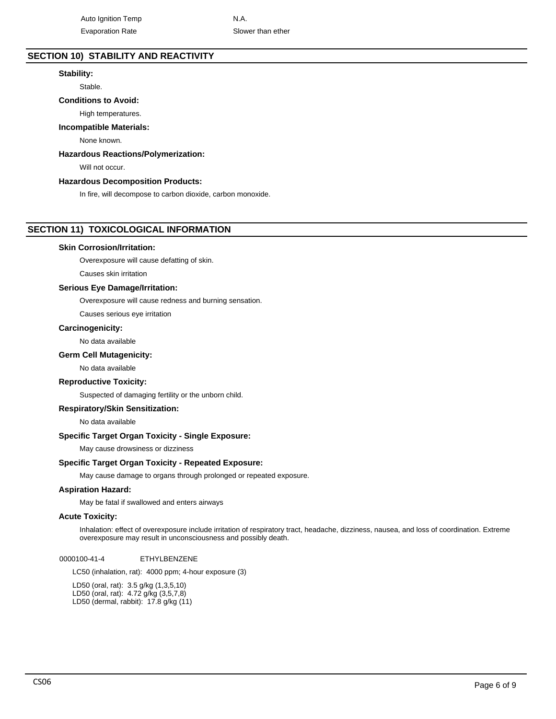# **SECTION 10) STABILITY AND REACTIVITY**

# **Stability:**

Stable.

# **Conditions to Avoid:**

High temperatures.

# **Incompatible Materials:**

None known.

# **Hazardous Reactions/Polymerization:**

Will not occur.

# **Hazardous Decomposition Products:**

In fire, will decompose to carbon dioxide, carbon monoxide.

# **SECTION 11) TOXICOLOGICAL INFORMATION**

# **Skin Corrosion/Irritation:**

Overexposure will cause defatting of skin.

Causes skin irritation

# **Serious Eye Damage/Irritation:**

Overexposure will cause redness and burning sensation.

Causes serious eye irritation

# **Carcinogenicity:**

No data available

# **Germ Cell Mutagenicity:**

No data available

# **Reproductive Toxicity:**

Suspected of damaging fertility or the unborn child.

# **Respiratory/Skin Sensitization:**

No data available

# **Specific Target Organ Toxicity - Single Exposure:**

May cause drowsiness or dizziness

# **Specific Target Organ Toxicity - Repeated Exposure:**

May cause damage to organs through prolonged or repeated exposure.

# **Aspiration Hazard:**

May be fatal if swallowed and enters airways

# **Acute Toxicity:**

Inhalation: effect of overexposure include irritation of respiratory tract, headache, dizziness, nausea, and loss of coordination. Extreme overexposure may result in unconsciousness and possibly death.

0000100-41-4 ETHYLBENZENE

LC50 (inhalation, rat): 4000 ppm; 4-hour exposure (3)

LD50 (oral, rat): 3.5 g/kg (1,3,5,10) LD50 (oral, rat): 4.72 g/kg (3,5,7,8) LD50 (dermal, rabbit): 17.8 g/kg (11)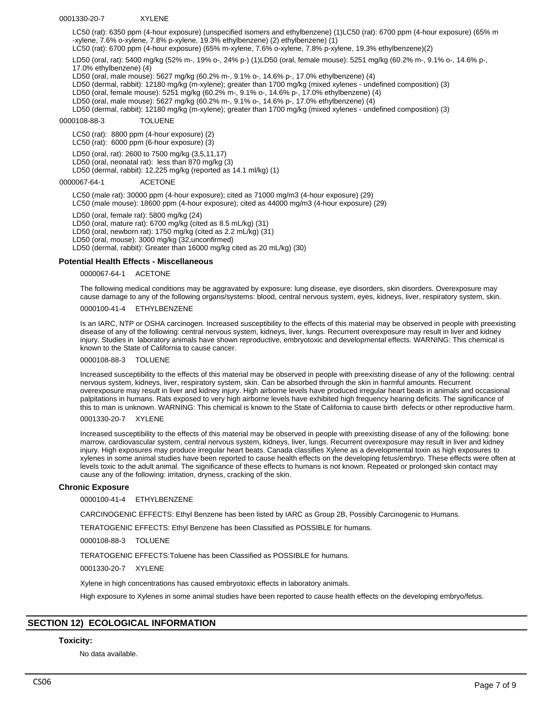#### 0001330-20-7 XYLENE

LC50 (rat): 6350 ppm (4-hour exposure) (unspecified isomers and ethylbenzene) (1)LC50 (rat): 6700 ppm (4-hour exposure) (65% m -xylene, 7.6% o-xylene, 7.8% p-xylene, 19.3% ethylbenzene) (2) ethylbenzene) (1)

LC50 (rat): 6700 ppm (4-hour exposure) (65% m-xylene, 7.6% o-xylene, 7.8% p-xylene, 19.3% ethylbenzene)(2)

LD50 (oral, rat): 5400 mg/kg (52% m-, 19% o-, 24% p-) (1)LD50 (oral, female mouse): 5251 mg/kg (60.2% m-, 9.1% o-, 14.6% p-, 17.0% ethylbenzene) (4)

LD50 (oral, male mouse): 5627 mg/kg (60.2% m-, 9.1% o-, 14.6% p-, 17.0% ethylbenzene) (4)

LD50 (dermal, rabbit): 12180 mg/kg (m-xylene); greater than 1700 mg/kg (mixed xylenes - undefined composition) (3)

LD50 (oral, female mouse): 5251 mg/kg (60.2% m-, 9.1% o-, 14.6% p-, 17.0% ethylbenzene) (4)

LD50 (oral, male mouse): 5627 mg/kg (60.2% m-, 9.1% o-, 14.6% p-, 17.0% ethylbenzene) (4)

LD50 (dermal, rabbit): 12180 mg/kg (m-xylene); greater than 1700 mg/kg (mixed xylenes - undefined composition) (3)

# 0000108-88-3 TOLUENE

LC50 (rat): 8800 ppm (4-hour exposure) (2)

LC50 (rat): 6000 ppm (6-hour exposure) (3)

LD50 (oral, rat): 2600 to 7500 mg/kg (3,5,11,17)

LD50 (oral, neonatal rat): less than 870 mg/kg (3)

LD50 (dermal, rabbit): 12,225 mg/kg (reported as 14.1 ml/kg) (1)

0000067-64-1 ACETONE

LC50 (male rat): 30000 ppm (4-hour exposure); cited as 71000 mg/m3 (4-hour exposure) (29) LC50 (male mouse): 18600 ppm (4-hour exposure); cited as 44000 mg/m3 (4-hour exposure) (29)

LD50 (oral, female rat): 5800 mg/kg (24) LD50 (oral, mature rat): 6700 mg/kg (cited as 8.5 mL/kg) (31) LD50 (oral, newborn rat): 1750 mg/kg (cited as 2.2 mL/kg) (31) LD50 (oral, mouse): 3000 mg/kg (32,unconfirmed) LD50 (dermal, rabbit): Greater than 16000 mg/kg cited as 20 mL/kg) (30)

# **Potential Health Effects - Miscellaneous**

0000067-64-1 ACETONE

The following medical conditions may be aggravated by exposure: lung disease, eye disorders, skin disorders. Overexposure may cause damage to any of the following organs/systems: blood, central nervous system, eyes, kidneys, liver, respiratory system, skin.

0000100-41-4 ETHYLBENZENE

Is an IARC, NTP or OSHA carcinogen. Increased susceptibility to the effects of this material may be observed in people with preexisting disease of any of the following: central nervous system, kidneys, liver, lungs. Recurrent overexposure may result in liver and kidney injury. Studies in laboratory animals have shown reproductive, embryotoxic and developmental effects. WARNING: This chemical is known to the State of California to cause cancer.

0000108-88-3 TOLUENE

Increased susceptibility to the effects of this material may be observed in people with preexisting disease of any of the following: central nervous system, kidneys, liver, respiratory system, skin. Can be absorbed through the skin in harmful amounts. Recurrent overexposure may result in liver and kidney injury. High airborne levels have produced irregular heart beats in animals and occasional palpitations in humans. Rats exposed to very high airborne levels have exhibited high frequency hearing deficits. The significance of this to man is unknown. WARNING: This chemical is known to the State of California to cause birth defects or other reproductive harm.

0001330-20-7 XYLENE

Increased susceptibility to the effects of this material may be observed in people with preexisting disease of any of the following: bone marrow, cardiovascular system, central nervous system, kidneys, liver, lungs. Recurrent overexposure may result in liver and kidney injury. High exposures may produce irregular heart beats. Canada classifies Xylene as a developmental toxin as high exposures to xylenes in some animal studies have been reported to cause health effects on the developing fetus/embryo. These effects were often at levels toxic to the adult animal. The significance of these effects to humans is not known. Repeated or prolonged skin contact may cause any of the following: irritation, dryness, cracking of the skin.

#### **Chronic Exposure**

0000100-41-4 ETHYLBENZENE

CARCINOGENIC EFFECTS: Ethyl Benzene has been listed by IARC as Group 2B, Possibly Carcinogenic to Humans.

TERATOGENIC EFFECTS: Ethyl Benzene has been Classified as POSSIBLE for humans.

0000108-88-3 TOLUENE

TERATOGENIC EFFECTS:Toluene has been Classified as POSSIBLE for humans.

0001330-20-7 XYLENE

Xylene in high concentrations has caused embryotoxic effects in laboratory animals.

High exposure to Xylenes in some animal studies have been reported to cause health effects on the developing embryo/fetus.

# **SECTION 12) ECOLOGICAL INFORMATION**

# **Toxicity:**

No data available.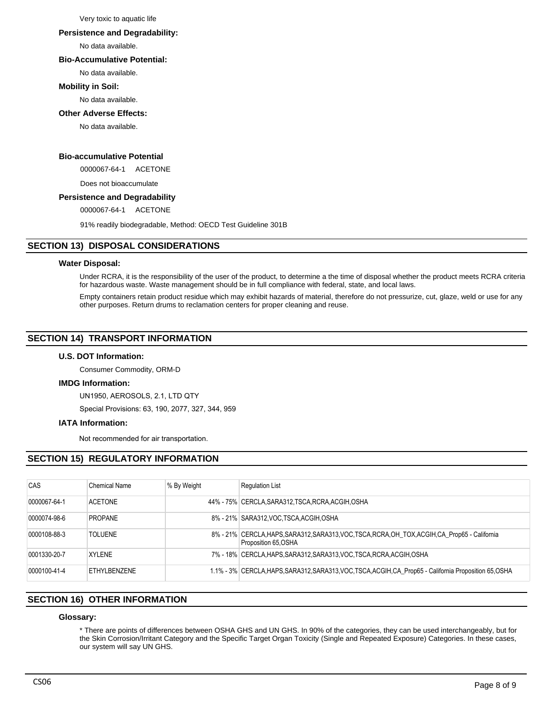Very toxic to aquatic life

#### **Persistence and Degradability:**

No data available.

# **Bio-Accumulative Potential:**

No data available.

# **Mobility in Soil:**

No data available.

# **Other Adverse Effects:**

No data available.

# **Bio-accumulative Potential**

0000067-64-1 ACETONE

Does not bioaccumulate

# **Persistence and Degradability**

0000067-64-1 ACETONE

91% readily biodegradable, Method: OECD Test Guideline 301B

# **SECTION 13) DISPOSAL CONSIDERATIONS**

# **Water Disposal:**

Under RCRA, it is the responsibility of the user of the product, to determine a the time of disposal whether the product meets RCRA criteria for hazardous waste. Waste management should be in full compliance with federal, state, and local laws.

Empty containers retain product residue which may exhibit hazards of material, therefore do not pressurize, cut, glaze, weld or use for any other purposes. Return drums to reclamation centers for proper cleaning and reuse.

# **SECTION 14) TRANSPORT INFORMATION**

# **U.S. DOT Information:**

Consumer Commodity, ORM-D

# **IMDG Information:**

UN1950, AEROSOLS, 2.1, LTD QTY

Special Provisions: 63, 190, 2077, 327, 344, 959

# **IATA Information:**

Not recommended for air transportation.

# **SECTION 15) REGULATORY INFORMATION**

| CAS          | Chemical Name  | % By Weight | <b>Requlation List</b>                                                                                                  |
|--------------|----------------|-------------|-------------------------------------------------------------------------------------------------------------------------|
| 0000067-64-1 | <b>ACFTONE</b> |             | 44% - 75% CERCLA, SARA312, TSCA, RCRA, ACGIH, OSHA                                                                      |
| 0000074-98-6 | <b>PROPANE</b> |             | 8% - 21% SARA312, VOC TSCA, ACGIH, OSHA                                                                                 |
| 0000108-88-3 | <b>TOLUENE</b> |             | 8% - 21% CERCLA, HAPS, SARA312, SARA313, VOC, TSCA, RCRA, OH_TOX, ACGIH, CA_Prop65 - California<br>Proposition 65, OSHA |
| 0001330-20-7 | <b>XYLENE</b>  |             | 7% - 18% CERCLA, HAPS, SARA312, SARA313, VOC, TSCA, RCRA, ACGIH, OSHA                                                   |
| 0000100-41-4 | FTHYL BENZENE  |             | 1.1% - 3% CERCLA, HAPS, SARA312, SARA313, VOC, TSCA, ACGIH, CA_Prop65 - California Proposition 65, OSHA                 |

# **SECTION 16) OTHER INFORMATION**

# **Glossary:**

\* There are points of differences between OSHA GHS and UN GHS. In 90% of the categories, they can be used interchangeably, but for the Skin Corrosion/Irritant Category and the Specific Target Organ Toxicity (Single and Repeated Exposure) Categories. In these cases, our system will say UN GHS.